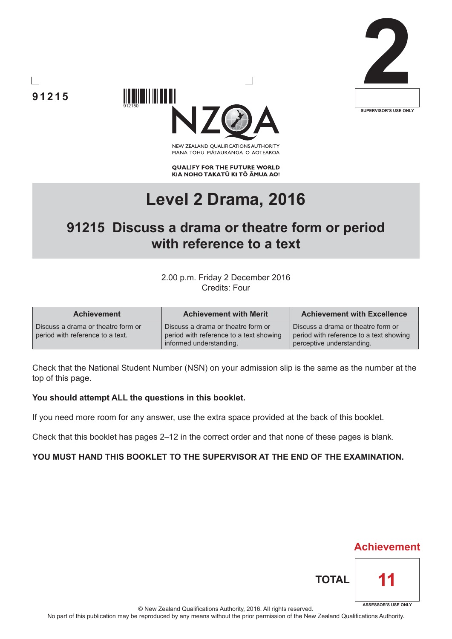





NEW ZEALAND OUALIFICATIONS AUTHORITY MANA TOHU MATAURANGA O AOTEAROA

**QUALIFY FOR THE FUTURE WORLD** KIA NOHO TAKATŪ KI TŌ ĀMUA AO!

# **Level 2 Drama, 2016**

## **91215 Discuss a drama or theatre form or period with reference to a text**

2.00 p.m. Friday 2 December 2016 Credits: Four

| <b>Achievement</b>                                                     | <b>Achievement with Merit</b>                                                                            | <b>Achievement with Excellence</b>                                                                         |
|------------------------------------------------------------------------|----------------------------------------------------------------------------------------------------------|------------------------------------------------------------------------------------------------------------|
| Discuss a drama or theatre form or<br>period with reference to a text. | Discuss a drama or theatre form or<br>period with reference to a text showing<br>informed understanding. | Discuss a drama or theatre form or<br>period with reference to a text showing<br>perceptive understanding. |

Check that the National Student Number (NSN) on your admission slip is the same as the number at the top of this page.

#### **You should attempt ALL the questions in this booklet.**

If you need more room for any answer, use the extra space provided at the back of this booklet.

Check that this booklet has pages 2–12 in the correct order and that none of these pages is blank.

#### **YOU MUST HAND THIS BOOKLET TO THE SUPERVISOR AT THE END OF THE EXAMINATION.**



© New Zealand Qualifications Authority, 2016. All rights reserved.

No part of this publication may be reproduced by any means without the prior permission of the New Zealand Qualifications Authority.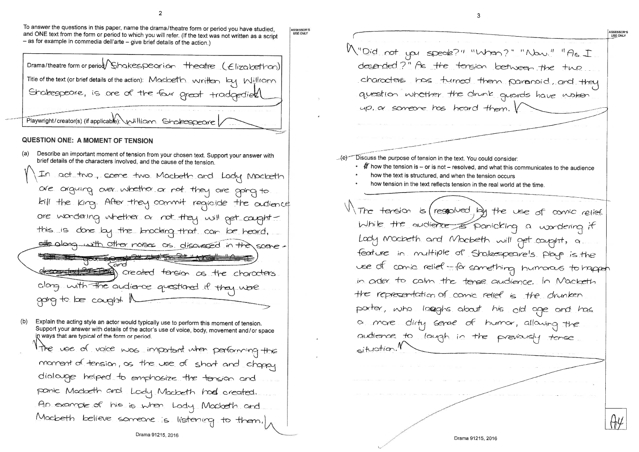To answer the questions in this paper, name the drama/theatre form or period you have studied, and ONE text from the form or period to which you will refer. (If the text was not written as a script  $-$  as for example in commedia dell'arte  $-$  give brief details of the action.)

ASSESSOR'S **USE ONLY** 

Drama/theatre form or period/Shakespearion theatre (Elizabethan) Title of the text (or brief details of the action): Macbeth written by Willram Shakespeare, is one of the four great tradgedient Playwright/creator(s) (if applicable): william Sholespeare **QUESTION ONE: A MOMENT OF TENSION** 

Describe an important moment of tension from your chosen text. Support your answer with brief details of the characters involved, and the cause of the tension.

In act two, scene two Macbeth and Lady Mocbeth are arguing over whether or not they are going to kill the King. After they commit regioide the audience ore wondering whether or not they will pet carghtthis is done by the knocking that can be heard, sthe along with other notes as discussed in the scene. 10 10 40 60 7 40 6 2 deconder the changes of the changes clarg with the audience questioned if they were garg to be cought.

 $(b)$ Explain the acting style an actor would typically use to perform this moment of tension. Support your answer with details of the actor's use of voice, body, movement and/or space in ways that are typical of the form or period. The use of voice was important when performing the moment of tension, as the use of short and chappy dialouge helped to emphosize the tension and ponic Moderth and Lody Macbeth hod created. An example of his is when Lody Mocketh and Modbeth believe someone is listening to them,

M"Did not you speak?" "When?" "Now." "As I desended?" As the tension between the two characters has turned them paranoid, and they question whether the drunk quards have woken up, a someone has heard them. Discuss the purpose of tension in the text. You could consider: •  $\mathscr H$  how the tension is – or is not – resolved, and what this communicates to the audience how the text is structured, and when the tension occurs how tension in the text reflects tension in the real world at the time. The tension is (responsed by the use of comic relief While the audience of panicking a wordering it Lody Mocbeth and Mocbeth will get couplet, a feature in multiple of Shakespeare's plays is the use of comic relief - for something humanous to happen in order to calm the tense audience. In Macketh the representation of comic relief is the drunken porter, who langhs about his old age and has a more dirty serve of humor, allowing the audience to laugh in the previously tense  $airutian.$ 

ASSESSOR'S **USE ONLY**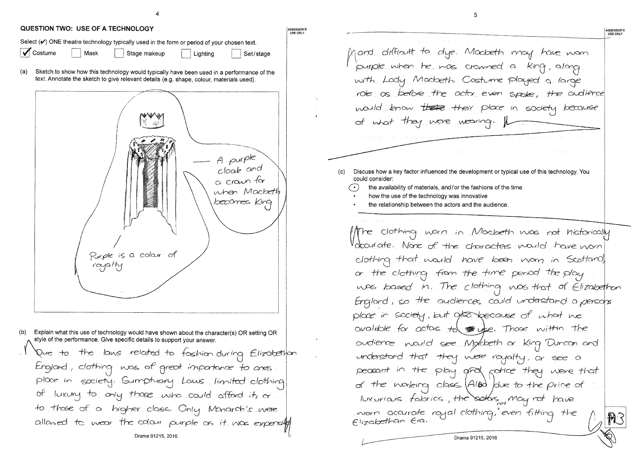| QUESTION TWO: USE OF A TECHNOLOGY                                                                                                                                                            |  |  |  |  |  |
|----------------------------------------------------------------------------------------------------------------------------------------------------------------------------------------------|--|--|--|--|--|
| Select $(V)$ ONE theatre technology typically used in the form or period of your chosen text.<br>Costume<br>Mask<br>Stage makeup<br>Set/stage<br>Lighting                                    |  |  |  |  |  |
| (a)<br>Sketch to show how this technology would typically have been used in a performance of the<br>text. Annotate the sketch to give relevant details (e.g. shape, colour, materials used). |  |  |  |  |  |
| A purple<br>cloak and<br>a crawn for<br>when Macheth<br>becomes King<br>Purple is a colour of<br>$\cos\theta$                                                                                |  |  |  |  |  |
| (b)<br>Explain what this use of technology would have shown about the character(s) OR setting OR<br>style of the performance. Give specific details to support your answer.                  |  |  |  |  |  |
| Due to the laws related to foshion-during Elizabethon                                                                                                                                        |  |  |  |  |  |
| England, clothing was of great impartance to ares.                                                                                                                                           |  |  |  |  |  |
| place in society. Sumptuary Laws limited clothing<br>of luxury to only those who could afford it, or                                                                                         |  |  |  |  |  |
| to those of a higher class. Only Monarch's were                                                                                                                                              |  |  |  |  |  |
| allowed to wear the colour purple os it was expensif                                                                                                                                         |  |  |  |  |  |
| Drama 91215, 2016                                                                                                                                                                            |  |  |  |  |  |

| and difficult to dye. Mock<br>purple when he was crown                                                                          |
|---------------------------------------------------------------------------------------------------------------------------------|
|                                                                                                                                 |
| with Lody Modoeth Costu                                                                                                         |
| role as before the actor e                                                                                                      |
| would know there their p                                                                                                        |
| of what they were wearing                                                                                                       |
|                                                                                                                                 |
|                                                                                                                                 |
| Discuss how a key factor influenced the developme<br>(c)<br>could consider:<br>the availability of materials, and/or the fashio |
| how the use of the technology was innovative<br>the relationship between the actors and the a                                   |
|                                                                                                                                 |
| Mre clothing worn in Mo<br>Voccurate. None of the chard                                                                         |
|                                                                                                                                 |
| clothing that would have                                                                                                        |
| $\alpha$ the clothing from the $t$                                                                                              |
| was based in. The cloth                                                                                                         |
| England, so the audiences                                                                                                       |
| place in society, but $\alpha$ for be                                                                                           |
| available for actors to $\bullet$                                                                                               |
| audience nould see Mykk                                                                                                         |
| understand that they were                                                                                                       |
| peccant in the play group                                                                                                       |
| of the working class. $(A/B)$                                                                                                   |
| luxurians fabrics, the od                                                                                                       |
| vorn accurate rayal clothin<br>Elizabethan Era.                                                                                 |

Drama 91215, 2016

ASSESSOR'S<br>USE ONLY beth may have wom ned a King, along ume played a large ven spoke, the audience place in society because  $\gamma$  . ent or typical use of this technology. You ons of the time udience. rebeth was not historically acters mould have nom been worn in Scotland time period the play.  $\frac{m}{2}$  was that of Elizabethan could understand a persons ecause of what we se. Those within the beth or King Duncan and royalty, or see a potice they were that due to the price of bes<sub>pot</sub> may not bave g, even fitting the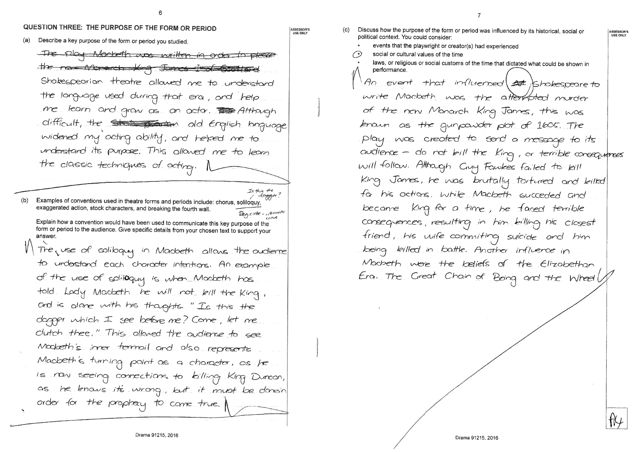## QUESTION THREE: THE PURPOSE OF THE FORM OR PERIOD

Describe a key purpose of the form or period you studied. (a)

The play Mocbeth was written in order to please the new Monarch King Janus Ind Estated Shakespearian theatre allowed me to understand the longuage used during that era, and help me learn and grow as an actor. The Atthough difficult, the State points old English language widened my acting ability, and helped me to understand its purpose. This allowed me to learn the classic techniques of acting. I

dagger? Examples of conventions used in theatre forms and periods include: chorus, soliloquy,  $(b)$ exaggerated action, stock characters, and breaking the fourth wall Regioide - uttimate

crine Explain how a convention would have been used to communicate this key purpose of the form or period to the audience. Give specific details from your chosen text to support your answer.

The use of soliloquy in Macbeth allows the audience to urderstand each character intentions. An example of the use of soliloquy is when Macbeth has told. Lady Macbeth he will not kill the King, and is alone with his thoughts. "Is this the dopper which I see before me? Come, let me clutch thee." This allared the audience to see Mocketh's inner termoil and also represents Macbeth's turning point as a character, as he is now seeing connections to killing King Duncon, he knows it's wrong, but it must be donein AS. order for the prophacy to come true.

ASSESSOR'S<br>USE ONLY

Is this the

 $(c)$ 

laws, or religious or social customs of the time that dictated what could be shown in performance. An event that influenced at ishakespeare to write Macbeth was the attendated murder of the new Monarch King James, this was known as the gunpowder plot of 1605. The play was created to send a message to its will follow. Attragh Cuy Fawkes failed to kill for his actions. While Macbeth succeded and became King for a time, he faced terrible consequences, resulting in him billing his closest friend, his wife commiting suicide and him being killed in battle. Another influence in Moderth were the beliefs of the Elizabethan

ASSESSOR'S<br>USE ONLY audience - do not bill the King, or terrible consequences King James, he was brutally tortured and bilted Era. The Great Chain of Being and the Wheell